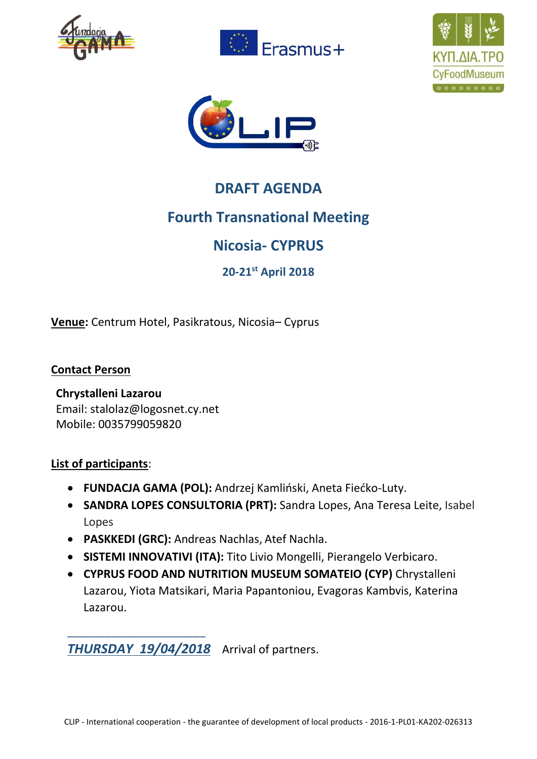







# **DRAFT AGENDA**

# **Fourth Transnational Meeting**

# **Nicosia- CYPRUS**

**20-21st April 2018**

**Venue:** Centrum Hotel, Pasikratous, Nicosia– Cyprus

**Contact Person**

#### **Chrystalleni Lazarou** Email: stalolaz@logosnet.cy.net

Mobile: 0035799059820

\_\_\_\_\_\_\_\_\_\_\_\_\_\_\_\_\_\_\_\_\_\_

### **List of participants**:

- **FUNDACJA GAMA (POL):** Andrzej Kamliński, Aneta Fiećko-Luty.
- **SANDRA LOPES CONSULTORIA (PRT):** Sandra Lopes, Ana Teresa Leite, Isabel Lopes
- **PASKKEDI (GRC):** Andreas Nachlas, Atef Nachla.
- **SISTEMI INNOVATIVI (ITA):** Tito Livio Mongelli, Pierangelo Verbicaro.
- **CYPRUS FOOD AND NUTRITION MUSEUM SOMATEIO (CYP)** Chrystalleni Lazarou, Yiota Matsikari, Maria Papantoniou, Evagoras Kambvis, Katerina Lazarou.

*THURSDAY 19/04/2018* Arrival of partners.